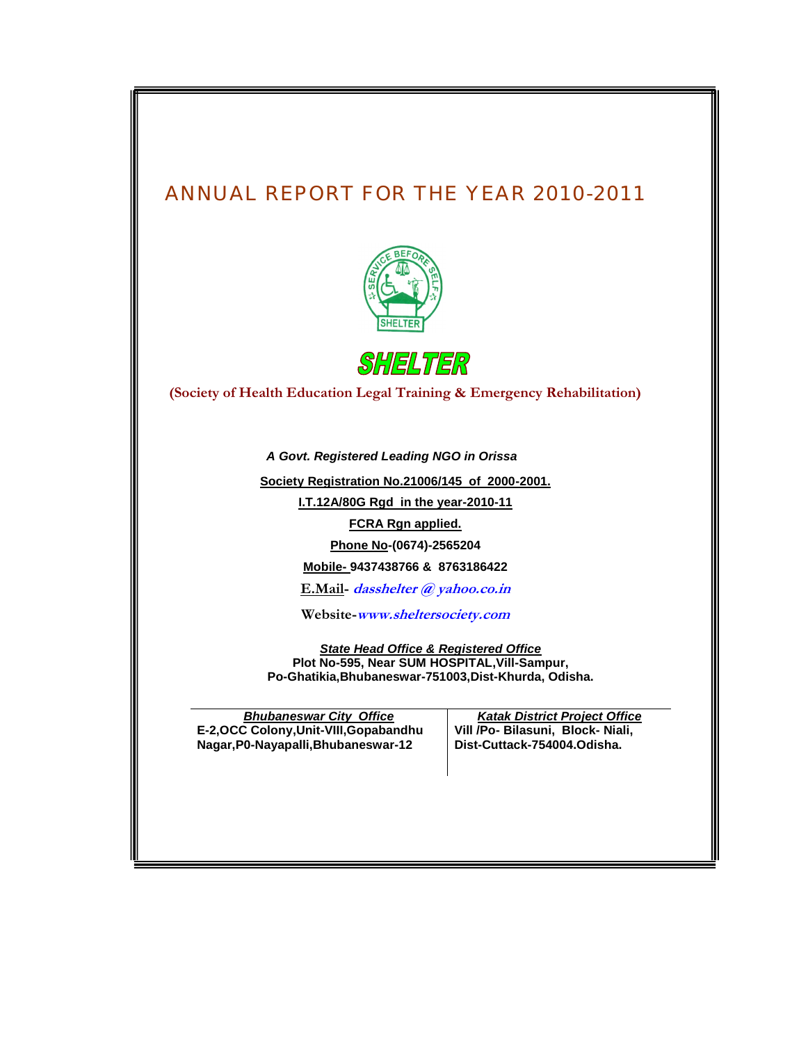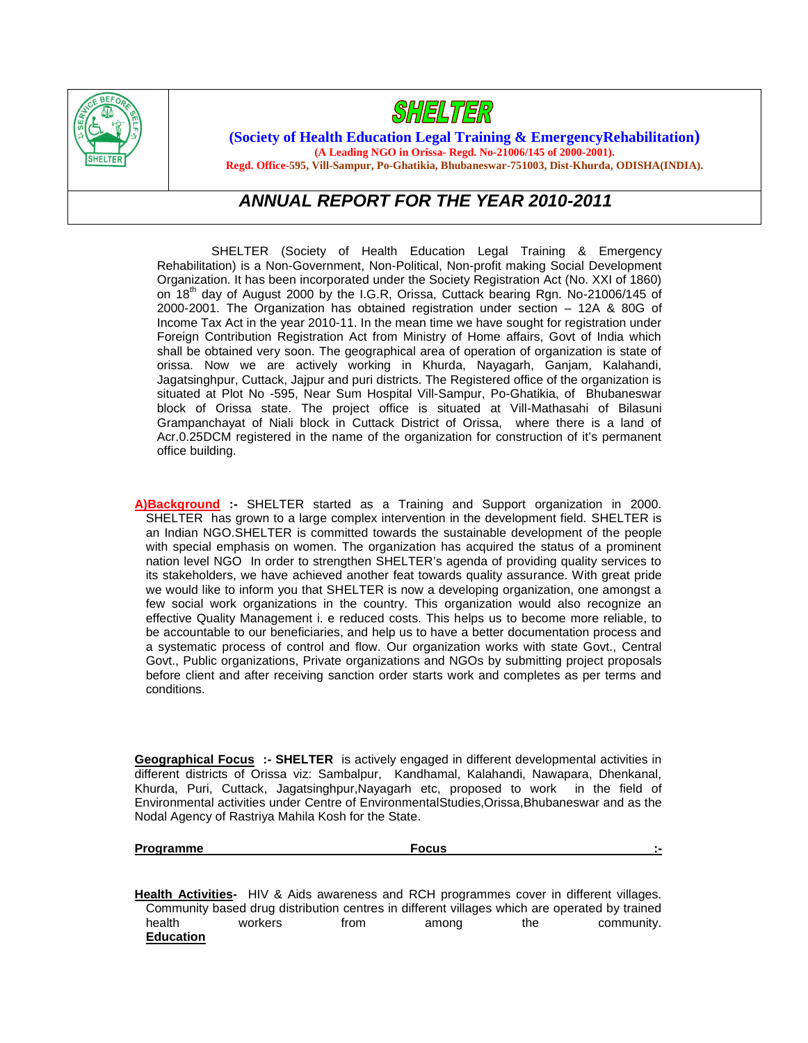



**(Society of Health Education Legal Training & EmergencyRehabilitation) (A Leading NGO in Orissa- Regd. No-21006/145 of 2000-2001).**

**Regd. Office-595, Vill-Sampur, Po-Ghatikia, Bhubaneswar-751003, Dist-Khurda, ODISHA(INDIA).**

# *ANNUAL REPORT FOR THE YEAR 2010-2011*

SHELTER (Society of Health Education Legal Training & Emergency Rehabilitation) is a Non-Government, Non-Political, Non-profit making Social Development Organization. It has been incorporated under the Society Registration Act (No. XXI of 1860) on  $18<sup>th</sup>$  day of August 2000 by the I.G.R, Orissa, Cuttack bearing Rgn. No-21006/145 of 2000-2001. The Organization has obtained registration under section – 12A & 80G of Income Tax Act in the year 2010-11. In the mean time we have sought for registration under Foreign Contribution Registration Act from Ministry of Home affairs, Govt of India which shall be obtained very soon. The geographical area of operation of organization is state of orissa. Now we are actively working in Khurda, Nayagarh, Ganjam, Kalahandi, Jagatsinghpur, Cuttack, Jajpur and puri districts. The Registered office of the organization is situated at Plot No -595, Near Sum Hospital Vill-Sampur, Po-Ghatikia, of Bhubaneswar block of Orissa state. The project office is situated at Vill-Mathasahi of Bilasuni Grampanchayat of Niali block in Cuttack District of Orissa, where there is a land of Acr.0.25DCM registered in the name of the organization for construction of it's permanent office building.

**A)Background :-** SHELTER started as a Training and Support organization in 2000. SHELTER has grown to a large complex intervention in the development field. SHELTER is an Indian NGO.SHELTER is committed towards the sustainable development of the people with special emphasis on women. The organization has acquired the status of a prominent nation level NGO In order to strengthen SHELTER's agenda of providing quality services to its stakeholders, we have achieved another feat towards quality assurance. With great pride we would like to inform you that SHELTER is now a developing organization, one amongst a few social work organizations in the country. This organization would also recognize an effective Quality Management i. e reduced costs. This helps us to become more reliable, to be accountable to our beneficiaries, and help us to have a better documentation process and a systematic process of control and flow. Our organization works with state Govt., Central Govt., Public organizations, Private organizations and NGOs by submitting project proposals before client and after receiving sanction order starts work and completes as per terms and conditions.

**Geographical Focus :- SHELTER** is actively engaged in different developmental activities in different districts of Orissa viz: Sambalpur, Kandhamal, Kalahandi, Nawapara, Dhenkanal, Khurda, Puri, Cuttack, Jagatsinghpur,Nayagarh etc, proposed to work in the field of Environmental activities under Centre of EnvironmentalStudies,Orissa,Bhubaneswar and as the Nodal Agency of Rastriya Mahila Kosh for the State.

**Programme Focus :-**

**Health Activities-** HIV & Aids awareness and RCH programmes cover in different villages. Community based drug distribution centres in different villages which are operated by trained<br>health workers from among the community. health workers from among the community. **Education**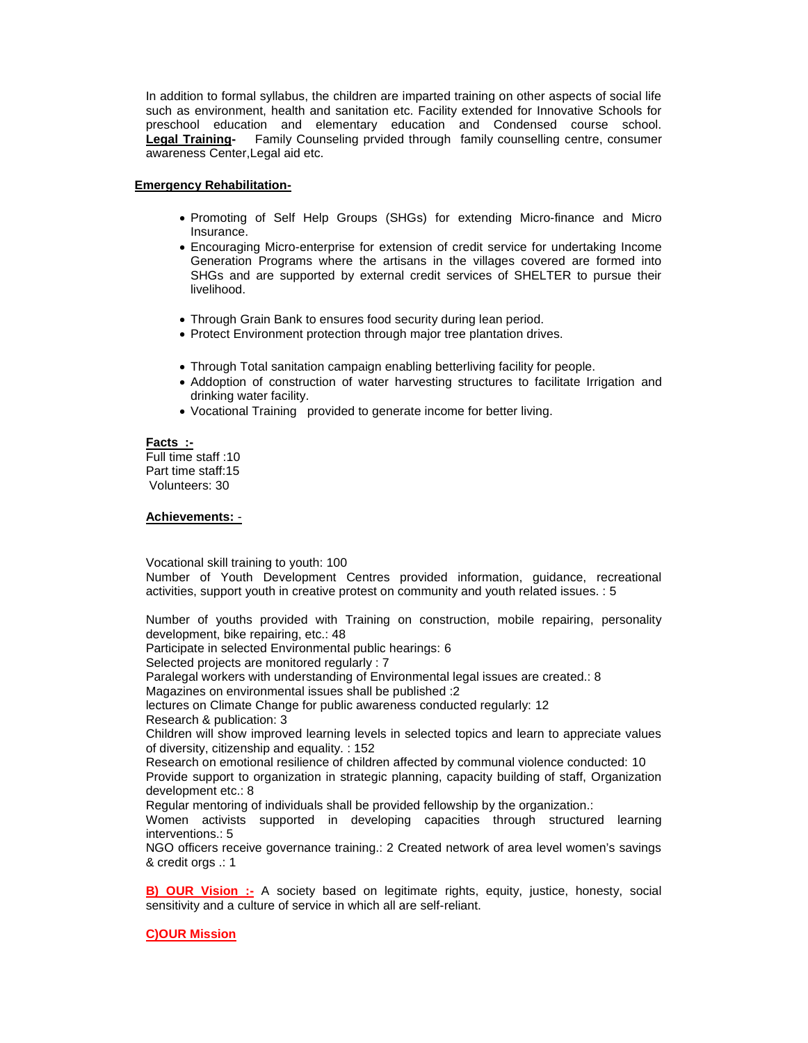In addition to formal syllabus, the children are imparted training on other aspects of social life such as environment, health and sanitation etc. Facility extended for Innovative Schools for preschool education and elementary education and Condensed course school. **Legal Training-** Family Counseling prvided through family counselling centre, consumer awareness Center,Legal aid etc.

### **Emergency Rehabilitation-**

- Promoting of Self Help Groups (SHGs) for extending Micro-finance and Micro Insurance.
- Encouraging Micro-enterprise for extension of credit service for undertaking Income Generation Programs where the artisans in the villages covered are formed into SHGs and are supported by external credit services of SHELTER to pursue their livelihood.
- Through Grain Bank to ensures food security during lean period.
- Protect Environment protection through major tree plantation drives.
- Through Total sanitation campaign enabling betterliving facility for people.
- Addoption of construction of water harvesting structures to facilitate Irrigation and drinking water facility.
- Vocational Training provided to generate income for better living.

### **Facts :-**

Full time staff :10 Part time staff:15 Volunteers: 30

### **Achievements:** -

Vocational skill training to youth: 100

Number of Youth Development Centres provided information, guidance, recreational activities, support youth in creative protest on community and youth related issues. : 5

Number of youths provided with Training on construction, mobile repairing, personality development, bike repairing, etc.: 48 Participate in selected Environmental public hearings: 6 Selected projects are monitored regularly : 7 Paralegal workers with understanding of Environmental legal issues are created.: 8 Magazines on environmental issues shall be published :2 lectures on Climate Change for public awareness conducted regularly: 12 Research & publication: 3 Children will show improved learning levels in selected topics and learn to appreciate values of diversity, citizenship and equality. : 152 Research on emotional resilience of children affected by communal violence conducted: 10 Provide support to organization in strategic planning, capacity building of staff, Organization development etc.: 8 Regular mentoring of individuals shall be provided fellowship by the organization.: Women activists supported in developing capacities through structured learning interventions.: 5 NGO officers receive governance training.: 2 Created network of area level women's savings & credit orgs .: 1

**B) OUR Vision :-** A society based on legitimate rights, equity, justice, honesty, social sensitivity and a culture of service in which all are self-reliant.

# **C)OUR Mission**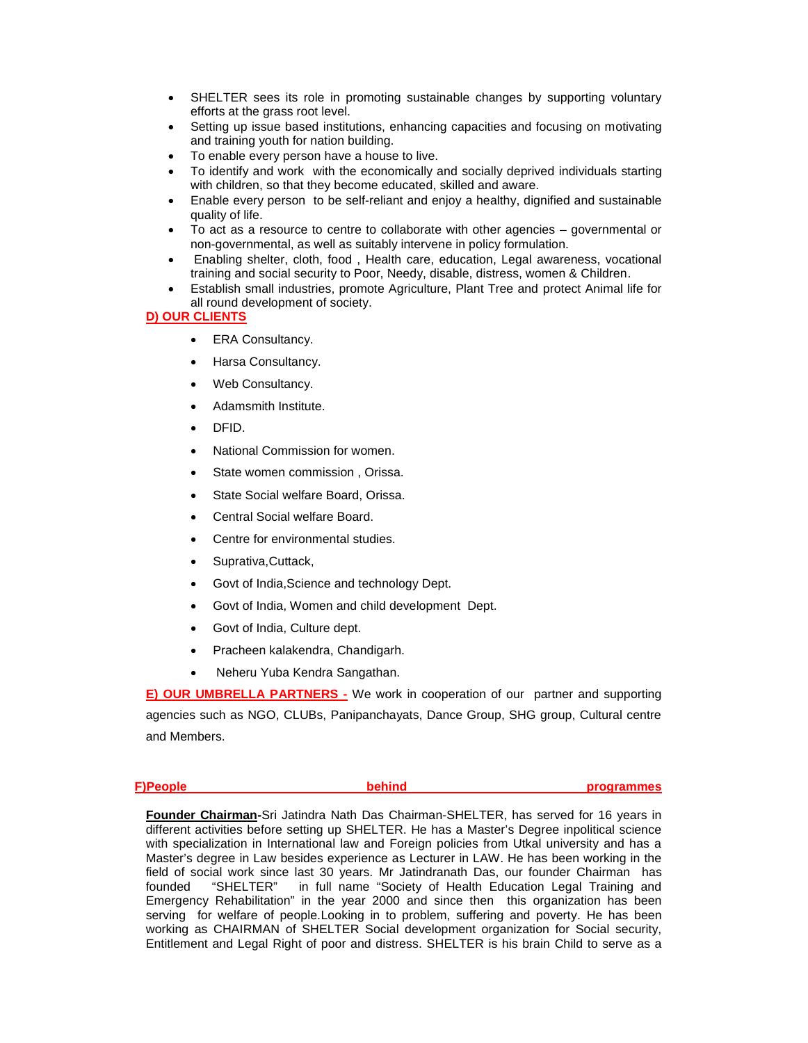- SHELTER sees its role in promoting sustainable changes by supporting voluntary efforts at the grass root level.
- Setting up issue based institutions, enhancing capacities and focusing on motivating and training youth for nation building.
- To enable every person have a house to live.
- To identify and work with the economically and socially deprived individuals starting with children, so that they become educated, skilled and aware.
- Enable every person to be self-reliant and enjoy a healthy, dignified and sustainable quality of life.
- To act as a resource to centre to collaborate with other agencies governmental or non-governmental, as well as suitably intervene in policy formulation.
- Enabling shelter, cloth, food , Health care, education, Legal awareness, vocational training and social security to Poor, Needy, disable, distress, women & Children.
- Establish small industries, promote Agriculture, Plant Tree and protect Animal life for all round development of society.

# **D) OUR CLIENTS**

- ERA Consultancy.
- Harsa Consultancy.
- Web Consultancy.
- Adamsmith Institute.
- DFID.
- National Commission for women.
- State women commission , Orissa.
- State Social welfare Board, Orissa.
- Central Social welfare Board.
- Centre for environmental studies.
- Suprativa, Cuttack,
- Govt of India,Science and technology Dept.
- Govt of India, Women and child development Dept.
- Govt of India, Culture dept.
- Pracheen kalakendra, Chandigarh.
- Neheru Yuba Kendra Sangathan.

**E) OUR UMBRELLA PARTNERS -** We work in cooperation of our partner and supporting agencies such as NGO, CLUBs, Panipanchayats, Dance Group, SHG group, Cultural centre and Members.

| F)People | programmes |
|----------|------------|
|          |            |

**Founder Chairman-**Sri Jatindra Nath Das Chairman-SHELTER, has served for 16 years in different activities before setting up SHELTER. He has a Master's Degree inpolitical science with specialization in International law and Foreign policies from Utkal university and has a Master's degree in Law besides experience as Lecturer in LAW. He has been working in the field of social work since last 30 years. Mr Jatindranath Das, our founder Chairman has founded "SHELTER" in full name "Society of Health Education Legal Training and Emergency Rehabilitation" in the year 2000 and since then this organization has been serving for welfare of people.Looking in to problem, suffering and poverty. He has been working as CHAIRMAN of SHELTER Social development organization for Social security, Entitlement and Legal Right of poor and distress. SHELTER is his brain Child to serve as a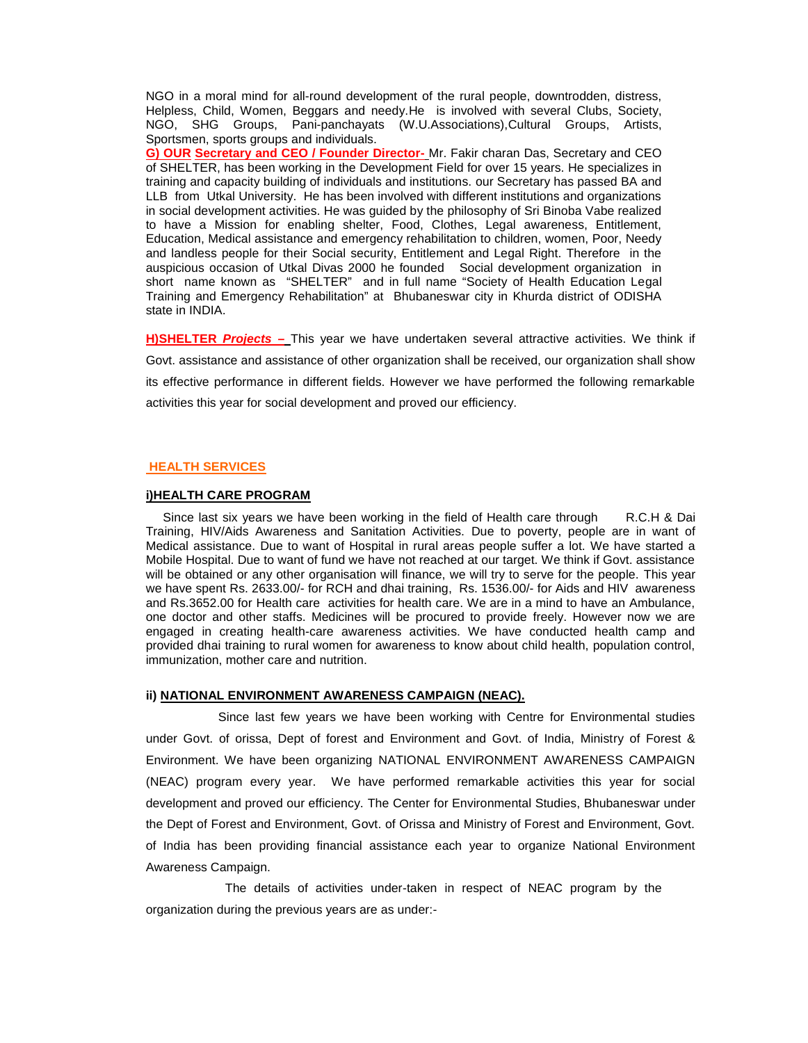NGO in a moral mind for all-round development of the rural people, downtrodden, distress, Helpless, Child, Women, Beggars and needy.He is involved with several Clubs, Society, NGO, SHG Groups, Pani-panchayats (W.U.Associations),Cultural Groups, Artists, Sportsmen, sports groups and individuals.

**G) OUR Secretary and CEO / Founder Director-** Mr. Fakir charan Das, Secretary and CEO of SHELTER, has been working in the Development Field for over 15 years. He specializes in training and capacity building of individuals and institutions. our Secretary has passed BA and LLB from Utkal University. He has been involved with different institutions and organizations in social development activities. He was guided by the philosophy of Sri Binoba Vabe realized to have a Mission for enabling shelter, Food, Clothes, Legal awareness, Entitlement, Education, Medical assistance and emergency rehabilitation to children, women, Poor, Needy and landless people for their Social security, Entitlement and Legal Right. Therefore in the auspicious occasion of Utkal Divas 2000 he founded Social development organization in short name known as "SHELTER" and in full name "Society of Health Education Legal Training and Emergency Rehabilitation" at Bhubaneswar city in Khurda district of ODISHA state in INDIA.

**H)SHELTER** *Projects –* This year we have undertaken several attractive activities. We think if Govt. assistance and assistance of other organization shall be received, our organization shall show its effective performance in different fields. However we have performed the following remarkable activities this year for social development and proved our efficiency.

### **HEALTH SERVICES**

#### **i)HEALTH CARE PROGRAM**

Since last six years we have been working in the field of Health care through R.C.H & Dai Training, HIV/Aids Awareness and Sanitation Activities. Due to poverty, people are in want of Medical assistance. Due to want of Hospital in rural areas people suffer a lot. We have started a Mobile Hospital. Due to want of fund we have not reached at our target. We think if Govt. assistance will be obtained or any other organisation will finance, we will try to serve for the people. This year we have spent Rs. 2633.00/- for RCH and dhai training, Rs. 1536.00/- for Aids and HIV awareness and Rs.3652.00 for Health care activities for health care. We are in a mind to have an Ambulance, one doctor and other staffs. Medicines will be procured to provide freely. However now we are engaged in creating health-care awareness activities. We have conducted health camp and provided dhai training to rural women for awareness to know about child health, population control, immunization, mother care and nutrition.

#### **ii) NATIONAL ENVIRONMENT AWARENESS CAMPAIGN (NEAC).**

Since last few years we have been working with Centre for Environmental studies under Govt. of orissa, Dept of forest and Environment and Govt. of India, Ministry of Forest & Environment. We have been organizing NATIONAL ENVIRONMENT AWARENESS CAMPAIGN (NEAC) program every year. We have performed remarkable activities this year for social development and proved our efficiency. The Center for Environmental Studies, Bhubaneswar under the Dept of Forest and Environment, Govt. of Orissa and Ministry of Forest and Environment, Govt. of India has been providing financial assistance each year to organize National Environment Awareness Campaign.

The details of activities under-taken in respect of NEAC program by the organization during the previous years are as under:-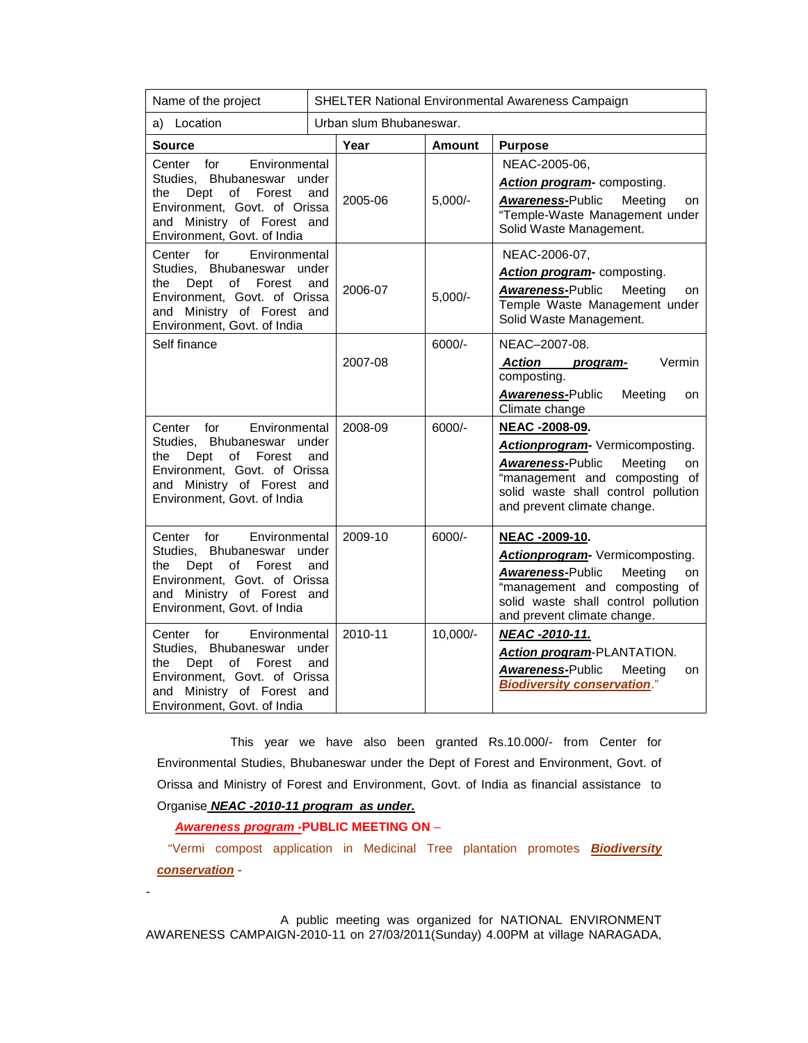| Name of the project                                                                                                                                                                             |              | SHELTER National Environmental Awareness Campaign |               |                                                                                                                                                                                                      |  |  |
|-------------------------------------------------------------------------------------------------------------------------------------------------------------------------------------------------|--------------|---------------------------------------------------|---------------|------------------------------------------------------------------------------------------------------------------------------------------------------------------------------------------------------|--|--|
| a) Location                                                                                                                                                                                     |              | Urban slum Bhubaneswar.                           |               |                                                                                                                                                                                                      |  |  |
| Source                                                                                                                                                                                          |              | Year                                              | <b>Amount</b> | <b>Purpose</b>                                                                                                                                                                                       |  |  |
| Center<br>for<br>Environmental<br>Studies, Bhubaneswar<br>the<br>Dept<br>οf<br>Forest<br>Environment, Govt. of Orissa<br>and Ministry of Forest and<br>Environment, Govt. of India              | under<br>and | 2005-06                                           | $5,000/-$     | NEAC-2005-06,<br>Action program- composting.<br>Awareness-Public<br>Meeting<br>on<br>"Temple-Waste Management under<br>Solid Waste Management.                                                       |  |  |
| Center for<br>Environmental<br>Studies, Bhubaneswar under<br>of Forest<br>the<br>Dept<br>Environment, Govt. of Orissa<br>and Ministry of Forest and<br>Environment, Govt. of India              | and          | 2006-07                                           | $5,000/-$     | NEAC-2006-07,<br>Action program- composting.<br><b>Awareness-Public</b><br>Meeting<br>on<br>Temple Waste Management under<br>Solid Waste Management.                                                 |  |  |
| Self finance                                                                                                                                                                                    |              | 2007-08                                           | $6000/-$      | NEAC-2007-08.<br><b>Action</b><br>Vermin<br>program-<br>composting.<br>Awareness-Public<br>Meeting<br>on<br>Climate change                                                                           |  |  |
| Center<br>for<br>Environmental<br>Studies, Bhubaneswar under<br>the<br>Dept<br>of<br>Forest<br>Environment, Govt. of Orissa<br>and Ministry of Forest and<br>Environment, Govt. of India        | and          | 2008-09                                           | 6000/-        | NEAC -2008-09.<br>Actionprogram- Vermicomposting.<br><b>Awareness-Public</b><br>Meeting<br>on<br>"management and composting of<br>solid waste shall control pollution<br>and prevent climate change. |  |  |
| Environmental<br>Center for<br>Studies, Bhubaneswar under<br>Forest<br>the<br>Dept<br>οf<br>Environment, Govt. of Orissa<br>and Ministry of Forest and<br>Environment, Govt. of India           | and          | 2009-10<br>2010-11                                | 6000/-        | NEAC -2009-10.<br>Actionprogram- Vermicomposting.<br><b>Awareness-Public</b><br>Meeting<br>on<br>"management and composting of<br>solid waste shall control pollution<br>and prevent climate change. |  |  |
| Center<br>for<br>Environmental<br>Studies, Bhubaneswar<br>under<br>the<br>Dept<br>of Forest<br>and<br>Environment, Govt. of Orissa<br>and Ministry of Forest and<br>Environment, Govt. of India |              |                                                   | 10,000/-      | NEAC -2010-11.<br>Action program-PLANTATION.<br><b>Awareness-Public</b><br>Meeting<br><b>on</b><br><b>Biodiversity conservation."</b>                                                                |  |  |

This year we have also been granted Rs.10.000/- from Center for Environmental Studies, Bhubaneswar under the Dept of Forest and Environment, Govt. of Orissa and Ministry of Forest and Environment, Govt. of India as financial assistance to Organise *NEAC -2010-11 program as under.*

*Awareness program -***PUBLIC MEETING ON** –

-

"Vermi compost application in Medicinal Tree plantation promotes *Biodiversity conservation* -

A public meeting was organized for NATIONAL ENVIRONMENT AWARENESS CAMPAIGN-2010-11 on 27/03/2011(Sunday) 4.00PM at village NARAGADA,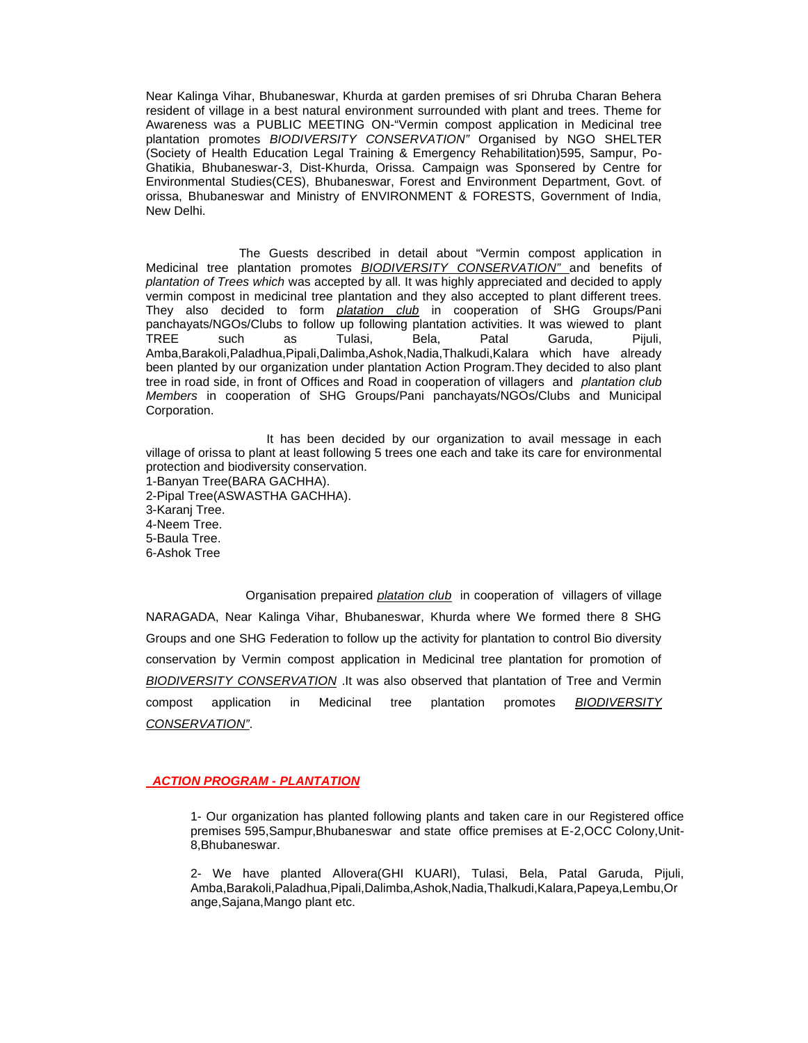Near Kalinga Vihar, Bhubaneswar, Khurda at garden premises of sri Dhruba Charan Behera resident of village in a best natural environment surrounded with plant and trees. Theme for Awareness was a PUBLIC MEETING ON-"Vermin compost application in Medicinal tree plantation promotes *BIODIVERSITY CONSERVATION"* Organised by NGO SHELTER (Society of Health Education Legal Training & Emergency Rehabilitation)595, Sampur, Po-Ghatikia, Bhubaneswar-3, Dist-Khurda, Orissa. Campaign was Sponsered by Centre for Environmental Studies(CES), Bhubaneswar, Forest and Environment Department, Govt. of orissa, Bhubaneswar and Ministry of ENVIRONMENT & FORESTS, Government of India, New Delhi.

The Guests described in detail about "Vermin compost application in Medicinal tree plantation promotes *BIODIVERSITY CONSERVATION"* and benefits of *plantation of Trees which* was accepted by all. It was highly appreciated and decided to apply vermin compost in medicinal tree plantation and they also accepted to plant different trees. They also decided to form *platation club* in cooperation of SHG Groups/Pani panchayats/NGOs/Clubs to follow up following plantation activities. It was wiewed to plant TREE such as Tulasi, Bela, Patal Garuda, Pijuli, Amba,Barakoli,Paladhua,Pipali,Dalimba,Ashok,Nadia,Thalkudi,Kalara which have already been planted by our organization under plantation Action Program.They decided to also plant tree in road side, in front of Offices and Road in cooperation of villagers and *plantation club Members* in cooperation of SHG Groups/Pani panchayats/NGOs/Clubs and Municipal Corporation.

It has been decided by our organization to avail message in each village of orissa to plant at least following 5 trees one each and take its care for environmental protection and biodiversity conservation.

1-Banyan Tree(BARA GACHHA). 2-Pipal Tree(ASWASTHA GACHHA). 3-Karanj Tree. 4-Neem Tree. 5-Baula Tree. 6-Ashok Tree

Organisation prepaired *platation club* in cooperation of villagers of village NARAGADA, Near Kalinga Vihar, Bhubaneswar, Khurda where We formed there 8 SHG Groups and one SHG Federation to follow up the activity for plantation to control Bio diversity conservation by Vermin compost application in Medicinal tree plantation for promotion of *BIODIVERSITY CONSERVATION* .It was also observed that plantation of Tree and Vermin compost application in Medicinal tree plantation promotes *BIODIVERSITY CONSERVATION"*.

## *ACTION PROGRAM - PLANTATION*

1- Our organization has planted following plants and taken care in our Registered office premises 595,Sampur,Bhubaneswar and state office premises at E-2,OCC Colony,Unit-8,Bhubaneswar.

2- We have planted Allovera(GHI KUARI), Tulasi, Bela, Patal Garuda, Pijuli, Amba,Barakoli,Paladhua,Pipali,Dalimba,Ashok,Nadia,Thalkudi,Kalara,Papeya,Lembu,Or ange,Sajana,Mango plant etc.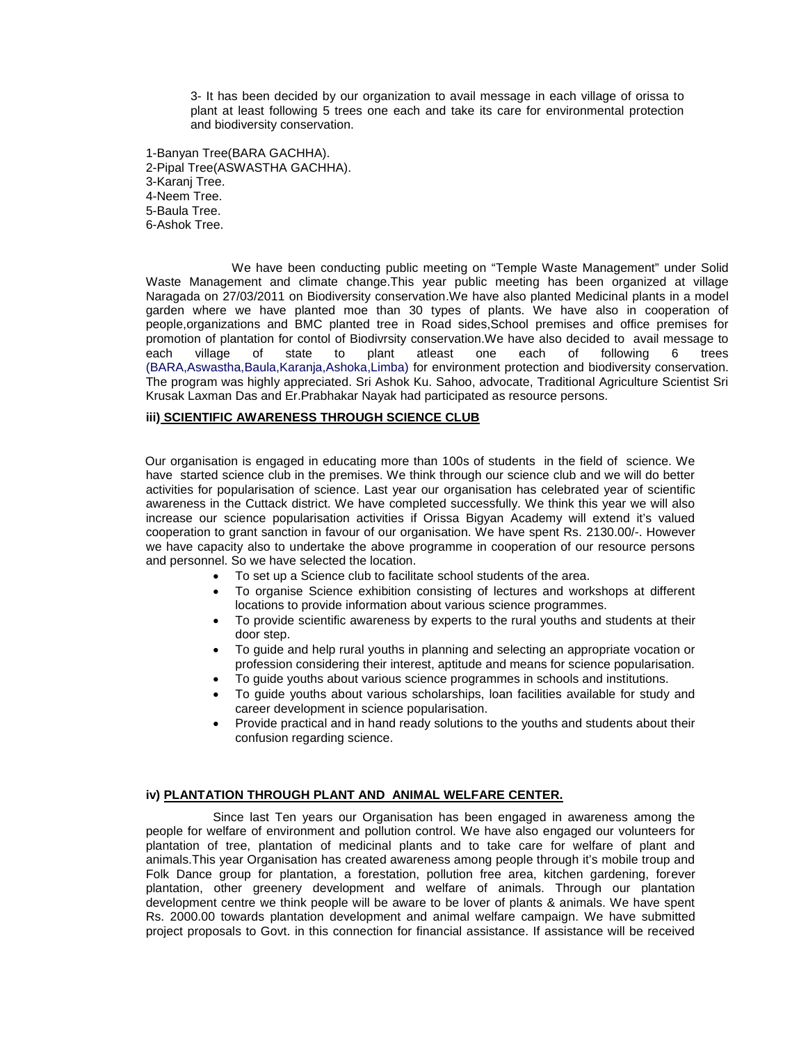3- It has been decided by our organization to avail message in each village of orissa to plant at least following 5 trees one each and take its care for environmental protection and biodiversity conservation.

1-Banyan Tree(BARA GACHHA). 2-Pipal Tree(ASWASTHA GACHHA). 3-Karanj Tree. 4-Neem Tree. 5-Baula Tree. 6-Ashok Tree.

We have been conducting public meeting on "Temple Waste Management" under Solid Waste Management and climate change.This year public meeting has been organized at village Naragada on 27/03/2011 on Biodiversity conservation.We have also planted Medicinal plants in a model garden where we have planted moe than 30 types of plants. We have also in cooperation of people,organizations and BMC planted tree in Road sides,School premises and office premises for promotion of plantation for contol of Biodivrsity conservation.We have also decided to avail message to each village of state to plant atleast one each of following 6 trees (BARA,Aswastha,Baula,Karanja,Ashoka,Limba) for environment protection and biodiversity conservation. The program was highly appreciated. Sri Ashok Ku. Sahoo, advocate, Traditional Agriculture Scientist Sri Krusak Laxman Das and Er.Prabhakar Nayak had participated as resource persons.

# **iii) SCIENTIFIC AWARENESS THROUGH SCIENCE CLUB**

Our organisation is engaged in educating more than 100s of students in the field of science. We have started science club in the premises. We think through our science club and we will do better activities for popularisation of science. Last year our organisation has celebrated year of scientific awareness in the Cuttack district. We have completed successfully. We think this year we will also increase our science popularisation activities if Orissa Bigyan Academy will extend it's valued cooperation to grant sanction in favour of our organisation. We have spent Rs. 2130.00/-. However we have capacity also to undertake the above programme in cooperation of our resource persons and personnel. So we have selected the location.

- To set up a Science club to facilitate school students of the area.
- To organise Science exhibition consisting of lectures and workshops at different locations to provide information about various science programmes.
- To provide scientific awareness by experts to the rural youths and students at their door step.
- To guide and help rural youths in planning and selecting an appropriate vocation or profession considering their interest, aptitude and means for science popularisation.
- To guide youths about various science programmes in schools and institutions.
- To guide youths about various scholarships, loan facilities available for study and career development in science popularisation.
- Provide practical and in hand ready solutions to the youths and students about their confusion regarding science.

### **iv) PLANTATION THROUGH PLANT AND ANIMAL WELFARE CENTER.**

Since last Ten years our Organisation has been engaged in awareness among the people for welfare of environment and pollution control. We have also engaged our volunteers for plantation of tree, plantation of medicinal plants and to take care for welfare of plant and animals.This year Organisation has created awareness among people through it's mobile troup and Folk Dance group for plantation, a forestation, pollution free area, kitchen gardening, forever plantation, other greenery development and welfare of animals. Through our plantation development centre we think people will be aware to be lover of plants & animals. We have spent Rs. 2000.00 towards plantation development and animal welfare campaign. We have submitted project proposals to Govt. in this connection for financial assistance. If assistance will be received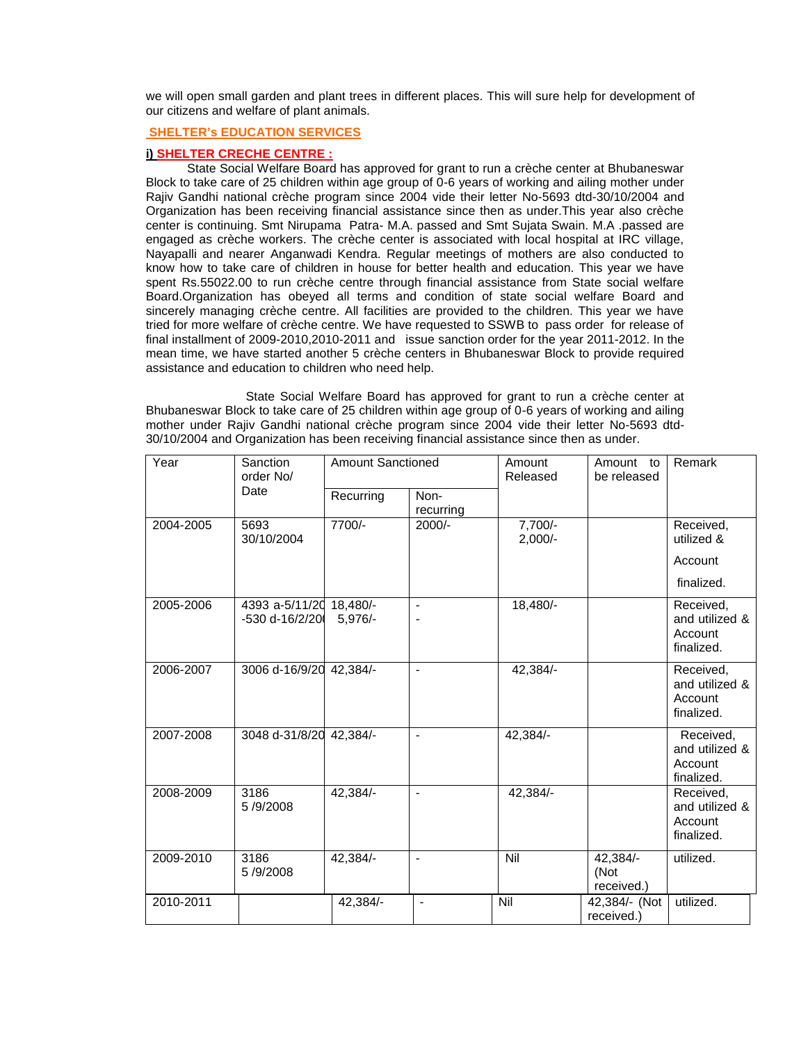we will open small garden and plant trees in different places. This will sure help for development of our citizens and welfare of plant animals.

# **SHELTER's EDUCATION SERVICES**

### **i) SHELTER CRECHE CENTRE :**

State Social Welfare Board has approved for grant to run a crèche center at Bhubaneswar Block to take care of 25 children within age group of 0-6 years of working and ailing mother under Rajiv Gandhi national crèche program since 2004 vide their letter No-5693 dtd-30/10/2004 and Organization has been receiving financial assistance since then as under.This year also crèche center is continuing. Smt Nirupama Patra- M.A. passed and Smt Sujata Swain. M.A .passed are engaged as crèche workers. The crèche center is associated with local hospital at IRC village, Nayapalli and nearer Anganwadi Kendra. Regular meetings of mothers are also conducted to know how to take care of children in house for better health and education. This year we have spent Rs.55022.00 to run crèche centre through financial assistance from State social welfare Board.Organization has obeyed all terms and condition of state social welfare Board and sincerely managing crèche centre. All facilities are provided to the children. This year we have tried for more welfare of crèche centre. We have requested to SSWB to pass order for release of final installment of 2009-2010,2010-2011 and issue sanction order for the year 2011-2012. In the mean time, we have started another 5 crèche centers in Bhubaneswar Block to provide required assistance and education to children who need help.

State Social Welfare Board has approved for grant to run a crèche center at Bhubaneswar Block to take care of 25 children within age group of 0-6 years of working and ailing mother under Rajiv Gandhi national crèche program since 2004 vide their letter No-5693 dtd-30/10/2004 and Organization has been receiving financial assistance since then as under.

| Year<br>Sanction<br>order No/<br>Date |                                           |           | <b>Amount Sanctioned</b> |                      | Amount to<br>be released       | Remark                                               |
|---------------------------------------|-------------------------------------------|-----------|--------------------------|----------------------|--------------------------------|------------------------------------------------------|
|                                       |                                           | Recurring | Non-<br>recurring        |                      |                                |                                                      |
| 2004-2005                             | 5693<br>30/10/2004                        | 7700/-    | 2000/-                   | 7,700/-<br>$2,000/-$ |                                | Received,<br>utilized &<br>Account<br>finalized.     |
| 2005-2006                             | 4393 a-5/11/20 18,480/-<br>-530 d-16/2/20 | $5,976/-$ | $\frac{1}{2}$            | 18,480/-             |                                | Received,<br>and utilized &<br>Account<br>finalized. |
| 2006-2007                             | 3006 d-16/9/20 42,384/-                   |           | $\frac{1}{2}$            | 42,384/-             |                                | Received,<br>and utilized &<br>Account<br>finalized. |
| 2007-2008                             | 3048 d-31/8/20 42,384/-                   |           | $\overline{a}$           | 42,384/-             |                                | Received,<br>and utilized &<br>Account<br>finalized. |
| 2008-2009                             | 3186<br>5/9/2008                          | 42,384/-  | $\overline{a}$           | 42,384/-             |                                | Received,<br>and utilized &<br>Account<br>finalized. |
| 2009-2010                             | 3186<br>5/9/2008                          | 42,384/-  | $\overline{\phantom{a}}$ | Nil                  | 42,384/-<br>(Not<br>received.) | utilized.                                            |
| 2010-2011                             |                                           | 42,384/-  | $\blacksquare$           | Nil                  | 42,384/- (Not<br>received.)    | utilized.                                            |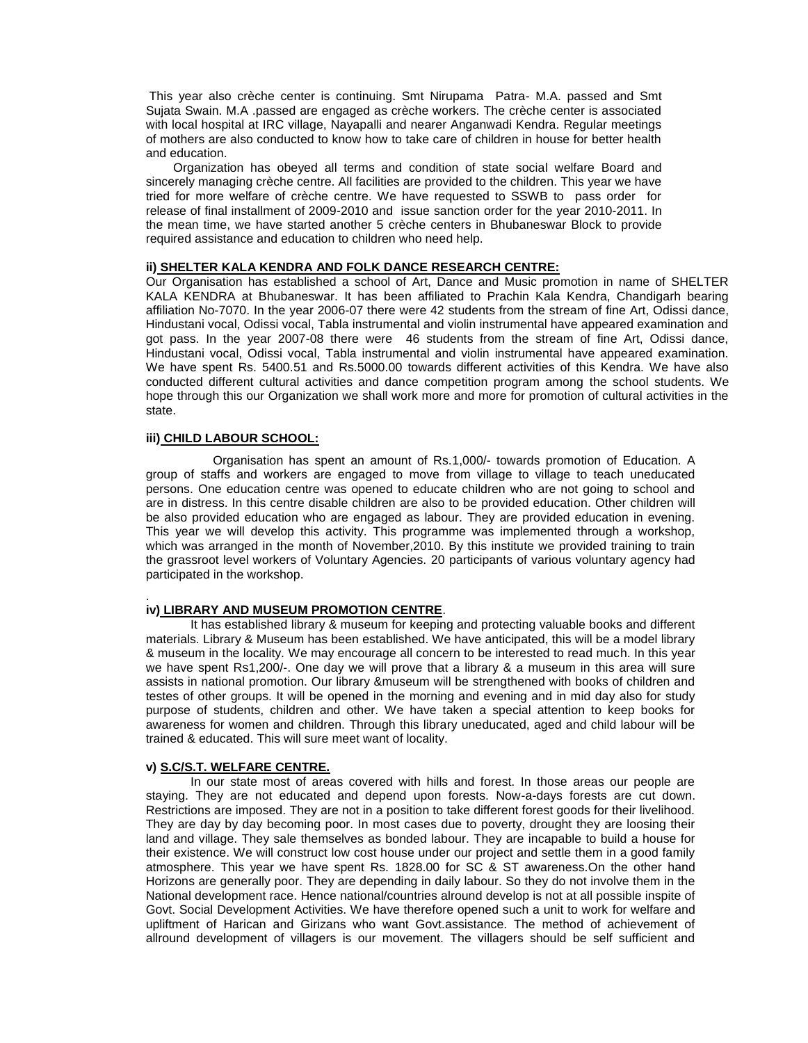This year also crèche center is continuing. Smt Nirupama Patra- M.A. passed and Smt Sujata Swain. M.A .passed are engaged as crèche workers. The crèche center is associated with local hospital at IRC village, Nayapalli and nearer Anganwadi Kendra. Regular meetings of mothers are also conducted to know how to take care of children in house for better health and education.

Organization has obeyed all terms and condition of state social welfare Board and sincerely managing crèche centre. All facilities are provided to the children. This year we have tried for more welfare of crèche centre. We have requested to SSWB to pass order for release of final installment of 2009-2010 and issue sanction order for the year 2010-2011. In the mean time, we have started another 5 crèche centers in Bhubaneswar Block to provide required assistance and education to children who need help.

#### **ii) SHELTER KALA KENDRA AND FOLK DANCE RESEARCH CENTRE:**

Our Organisation has established a school of Art, Dance and Music promotion in name of SHELTER KALA KENDRA at Bhubaneswar. It has been affiliated to Prachin Kala Kendra, Chandigarh bearing affiliation No-7070. In the year 2006-07 there were 42 students from the stream of fine Art, Odissi dance, Hindustani vocal, Odissi vocal, Tabla instrumental and violin instrumental have appeared examination and got pass. In the year 2007-08 there were 46 students from the stream of fine Art, Odissi dance, Hindustani vocal, Odissi vocal, Tabla instrumental and violin instrumental have appeared examination. We have spent Rs. 5400.51 and Rs.5000.00 towards different activities of this Kendra. We have also conducted different cultural activities and dance competition program among the school students. We hope through this our Organization we shall work more and more for promotion of cultural activities in the state.

### **iii) CHILD LABOUR SCHOOL:**

Organisation has spent an amount of Rs.1,000/- towards promotion of Education. A group of staffs and workers are engaged to move from village to village to teach uneducated persons. One education centre was opened to educate children who are not going to school and are in distress. In this centre disable children are also to be provided education. Other children will be also provided education who are engaged as labour. They are provided education in evening. This year we will develop this activity. This programme was implemented through a workshop, which was arranged in the month of November,2010. By this institute we provided training to train the grassroot level workers of Voluntary Agencies. 20 participants of various voluntary agency had participated in the workshop.

#### . **iv) LIBRARY AND MUSEUM PROMOTION CENTRE**.

It has established library & museum for keeping and protecting valuable books and different materials. Library & Museum has been established. We have anticipated, this will be a model library & museum in the locality. We may encourage all concern to be interested to read much. In this year we have spent Rs1,200/-. One day we will prove that a library & a museum in this area will sure assists in national promotion. Our library &museum will be strengthened with books of children and testes of other groups. It will be opened in the morning and evening and in mid day also for study purpose of students, children and other. We have taken a special attention to keep books for awareness for women and children. Through this library uneducated, aged and child labour will be trained & educated. This will sure meet want of locality.

#### **v) S.C/S.T. WELFARE CENTRE.**

In our state most of areas covered with hills and forest. In those areas our people are staying. They are not educated and depend upon forests. Now-a-days forests are cut down. Restrictions are imposed. They are not in a position to take different forest goods for their livelihood. They are day by day becoming poor. In most cases due to poverty, drought they are loosing their land and village. They sale themselves as bonded labour. They are incapable to build a house for their existence. We will construct low cost house under our project and settle them in a good family atmosphere. This year we have spent Rs. 1828.00 for SC & ST awareness.On the other hand Horizons are generally poor. They are depending in daily labour. So they do not involve them in the National development race. Hence national/countries alround develop is not at all possible inspite of Govt. Social Development Activities. We have therefore opened such a unit to work for welfare and upliftment of Harican and Girizans who want Govt.assistance. The method of achievement of allround development of villagers is our movement. The villagers should be self sufficient and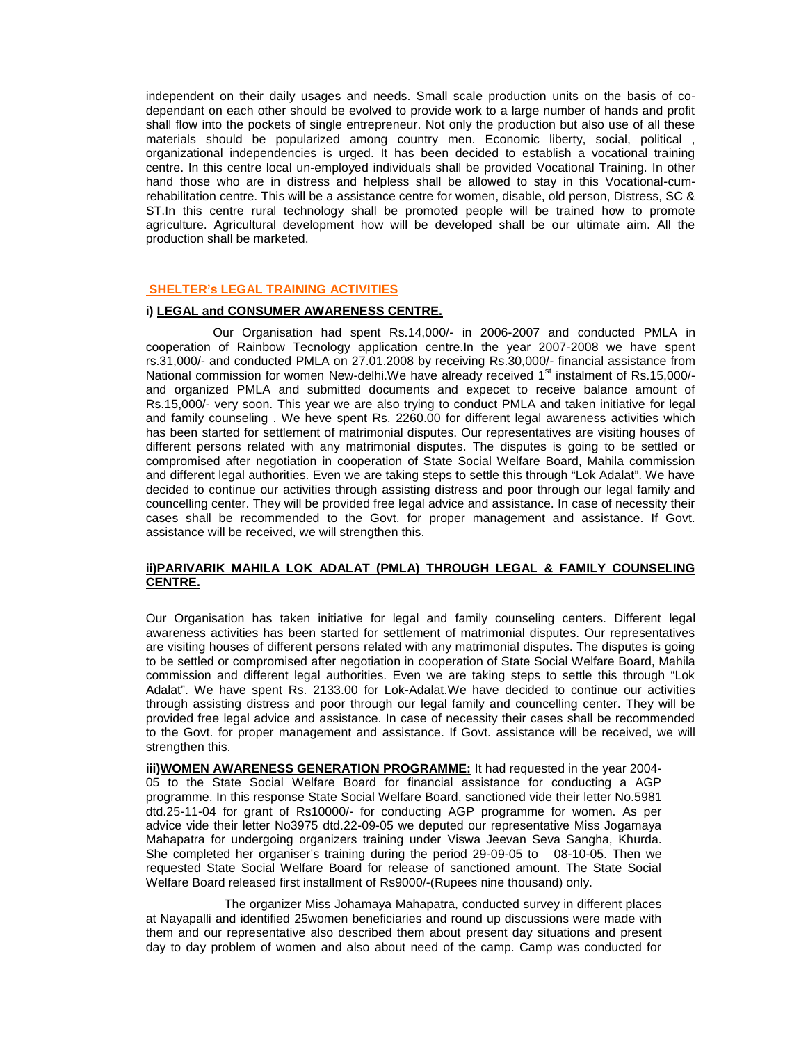independent on their daily usages and needs. Small scale production units on the basis of codependant on each other should be evolved to provide work to a large number of hands and profit shall flow into the pockets of single entrepreneur. Not only the production but also use of all these materials should be popularized among country men. Economic liberty, social, political , organizational independencies is urged. It has been decided to establish a vocational training centre. In this centre local un-employed individuals shall be provided Vocational Training. In other hand those who are in distress and helpless shall be allowed to stay in this Vocational-cumrehabilitation centre. This will be a assistance centre for women, disable, old person, Distress, SC & ST.In this centre rural technology shall be promoted people will be trained how to promote agriculture. Agricultural development how will be developed shall be our ultimate aim. All the production shall be marketed.

# **SHELTER's LEGAL TRAINING ACTIVITIES**

### **i) LEGAL and CONSUMER AWARENESS CENTRE.**

Our Organisation had spent Rs.14,000/- in 2006-2007 and conducted PMLA in cooperation of Rainbow Tecnology application centre.In the year 2007-2008 we have spent rs.31,000/- and conducted PMLA on 27.01.2008 by receiving Rs.30,000/- financial assistance from National commission for women New-delhi.We have already received 1<sup>st</sup> instalment of Rs.15,000/and organized PMLA and submitted documents and expecet to receive balance amount of Rs.15,000/- very soon. This year we are also trying to conduct PMLA and taken initiative for legal and family counseling . We heve spent Rs. 2260.00 for different legal awareness activities which has been started for settlement of matrimonial disputes. Our representatives are visiting houses of different persons related with any matrimonial disputes. The disputes is going to be settled or compromised after negotiation in cooperation of State Social Welfare Board, Mahila commission and different legal authorities. Even we are taking steps to settle this through "Lok Adalat". We have decided to continue our activities through assisting distress and poor through our legal family and councelling center. They will be provided free legal advice and assistance. In case of necessity their cases shall be recommended to the Govt. for proper management and assistance. If Govt. assistance will be received, we will strengthen this.

### **ii)PARIVARIK MAHILA LOK ADALAT (PMLA) THROUGH LEGAL & FAMILY COUNSELING CENTRE.**

Our Organisation has taken initiative for legal and family counseling centers. Different legal awareness activities has been started for settlement of matrimonial disputes. Our representatives are visiting houses of different persons related with any matrimonial disputes. The disputes is going to be settled or compromised after negotiation in cooperation of State Social Welfare Board, Mahila commission and different legal authorities. Even we are taking steps to settle this through "Lok Adalat". We have spent Rs. 2133.00 for Lok-Adalat.We have decided to continue our activities through assisting distress and poor through our legal family and councelling center. They will be provided free legal advice and assistance. In case of necessity their cases shall be recommended to the Govt. for proper management and assistance. If Govt. assistance will be received, we will strengthen this.

**iii)WOMEN AWARENESS GENERATION PROGRAMME:** It had requested in the year 2004-05 to the State Social Welfare Board for financial assistance for conducting a AGP programme. In this response State Social Welfare Board, sanctioned vide their letter No.5981 dtd.25-11-04 for grant of Rs10000/- for conducting AGP programme for women. As per advice vide their letter No3975 dtd.22-09-05 we deputed our representative Miss Jogamaya Mahapatra for undergoing organizers training under Viswa Jeevan Seva Sangha, Khurda. She completed her organiser's training during the period 29-09-05 to 08-10-05. Then we requested State Social Welfare Board for release of sanctioned amount. The State Social Welfare Board released first installment of Rs9000/-(Rupees nine thousand) only.

The organizer Miss Johamaya Mahapatra, conducted survey in different places at Nayapalli and identified 25women beneficiaries and round up discussions were made with them and our representative also described them about present day situations and present day to day problem of women and also about need of the camp. Camp was conducted for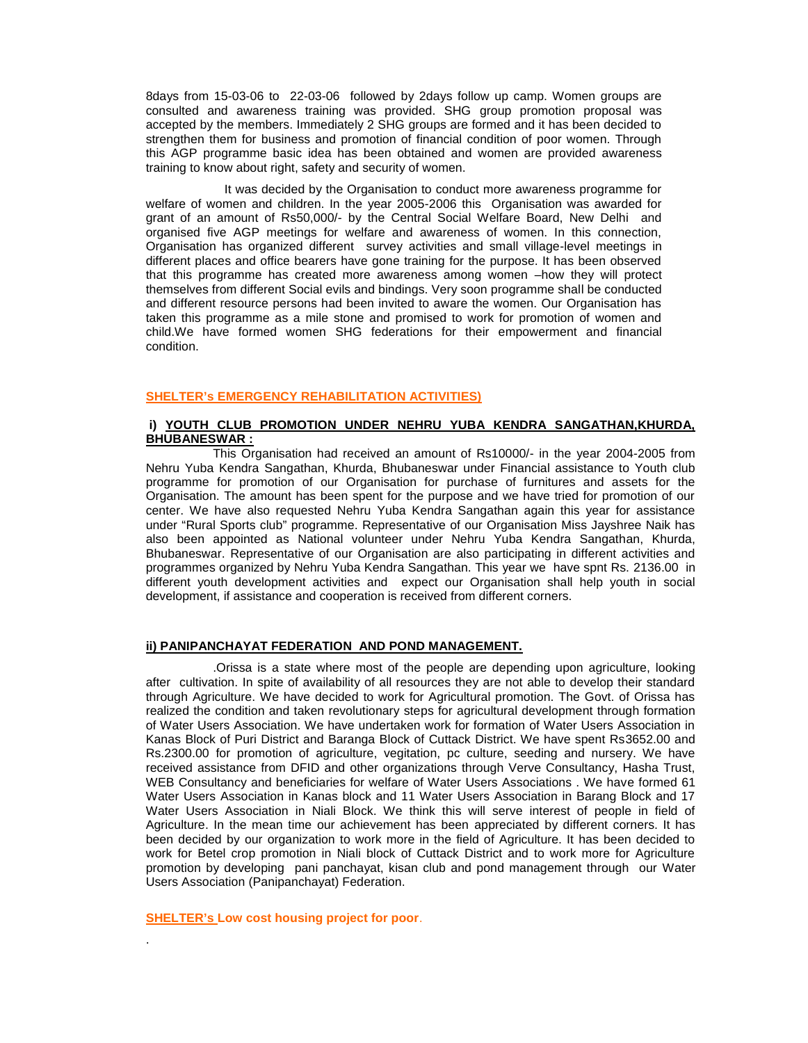8days from 15-03-06 to 22-03-06 followed by 2days follow up camp. Women groups are consulted and awareness training was provided. SHG group promotion proposal was accepted by the members. Immediately 2 SHG groups are formed and it has been decided to strengthen them for business and promotion of financial condition of poor women. Through this AGP programme basic idea has been obtained and women are provided awareness training to know about right, safety and security of women.

It was decided by the Organisation to conduct more awareness programme for welfare of women and children. In the year 2005-2006 this Organisation was awarded for grant of an amount of Rs50,000/- by the Central Social Welfare Board, New Delhi and organised five AGP meetings for welfare and awareness of women. In this connection, Organisation has organized different survey activities and small village-level meetings in different places and office bearers have gone training for the purpose. It has been observed that this programme has created more awareness among women –how they will protect themselves from different Social evils and bindings. Very soon programme shall be conducted and different resource persons had been invited to aware the women. Our Organisation has taken this programme as a mile stone and promised to work for promotion of women and child.We have formed women SHG federations for their empowerment and financial condition.

### **SHELTER's EMERGENCY REHABILITATION ACTIVITIES)**

# **i) YOUTH CLUB PROMOTION UNDER NEHRU YUBA KENDRA SANGATHAN,KHURDA, BHUBANESWAR :**

This Organisation had received an amount of Rs10000/- in the year 2004-2005 from Nehru Yuba Kendra Sangathan, Khurda, Bhubaneswar under Financial assistance to Youth club programme for promotion of our Organisation for purchase of furnitures and assets for the Organisation. The amount has been spent for the purpose and we have tried for promotion of our center. We have also requested Nehru Yuba Kendra Sangathan again this year for assistance under "Rural Sports club" programme. Representative of our Organisation Miss Jayshree Naik has also been appointed as National volunteer under Nehru Yuba Kendra Sangathan, Khurda, Bhubaneswar. Representative of our Organisation are also participating in different activities and programmes organized by Nehru Yuba Kendra Sangathan. This year we have spnt Rs. 2136.00 in different youth development activities and expect our Organisation shall help youth in social development, if assistance and cooperation is received from different corners.

#### **ii) PANIPANCHAYAT FEDERATION AND POND MANAGEMENT.**

.Orissa is a state where most of the people are depending upon agriculture, looking after cultivation. In spite of availability of all resources they are not able to develop their standard through Agriculture. We have decided to work for Agricultural promotion. The Govt. of Orissa has realized the condition and taken revolutionary steps for agricultural development through formation of Water Users Association. We have undertaken work for formation of Water Users Association in Kanas Block of Puri District and Baranga Block of Cuttack District. We have spent Rs3652.00 and Rs.2300.00 for promotion of agriculture, vegitation, pc culture, seeding and nursery. We have received assistance from DFID and other organizations through Verve Consultancy, Hasha Trust, WEB Consultancy and beneficiaries for welfare of Water Users Associations . We have formed 61 Water Users Association in Kanas block and 11 Water Users Association in Barang Block and 17 Water Users Association in Niali Block. We think this will serve interest of people in field of Agriculture. In the mean time our achievement has been appreciated by different corners. It has been decided by our organization to work more in the field of Agriculture. It has been decided to work for Betel crop promotion in Niali block of Cuttack District and to work more for Agriculture promotion by developing pani panchayat, kisan club and pond management through our Water Users Association (Panipanchayat) Federation.

**SHELTER's Low cost housing project for poor**.

.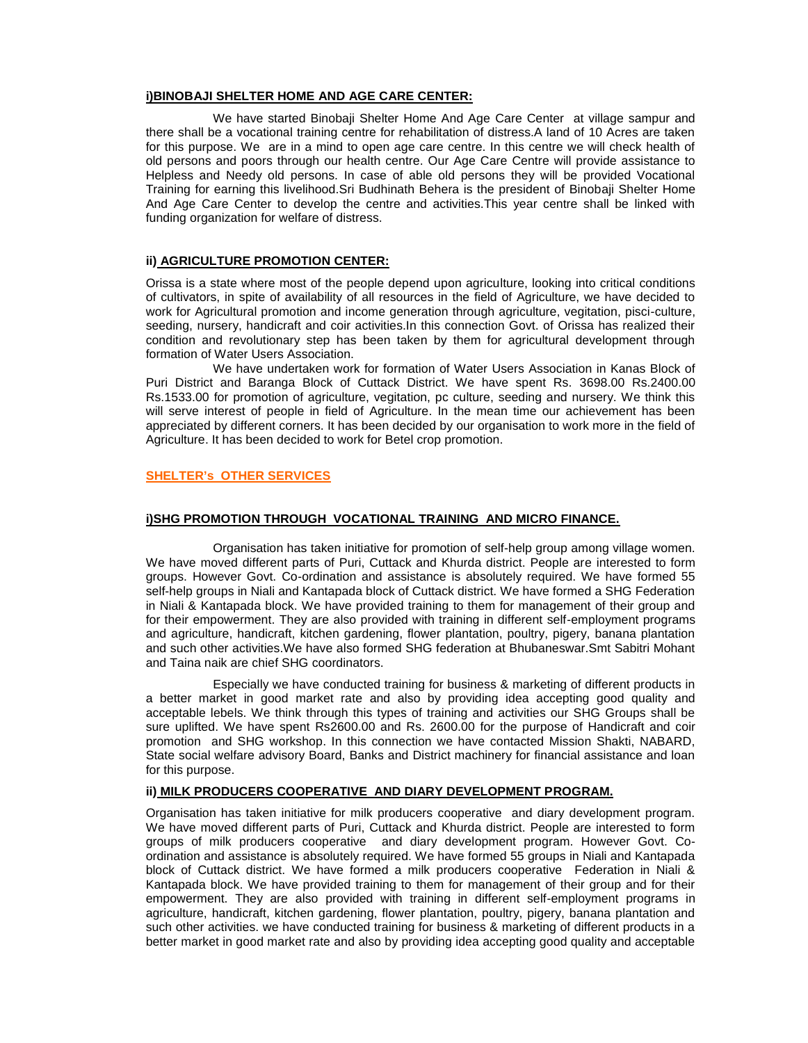### **i)BINOBAJI SHELTER HOME AND AGE CARE CENTER:**

We have started Binobaji Shelter Home And Age Care Center at village sampur and there shall be a vocational training centre for rehabilitation of distress.A land of 10 Acres are taken for this purpose. We are in a mind to open age care centre. In this centre we will check health of old persons and poors through our health centre. Our Age Care Centre will provide assistance to Helpless and Needy old persons. In case of able old persons they will be provided Vocational Training for earning this livelihood.Sri Budhinath Behera is the president of Binobaji Shelter Home And Age Care Center to develop the centre and activities.This year centre shall be linked with funding organization for welfare of distress.

### **ii) AGRICULTURE PROMOTION CENTER:**

Orissa is a state where most of the people depend upon agriculture, looking into critical conditions of cultivators, in spite of availability of all resources in the field of Agriculture, we have decided to work for Agricultural promotion and income generation through agriculture, vegitation, pisci-culture, seeding, nursery, handicraft and coir activities.In this connection Govt. of Orissa has realized their condition and revolutionary step has been taken by them for agricultural development through formation of Water Users Association.

We have undertaken work for formation of Water Users Association in Kanas Block of Puri District and Baranga Block of Cuttack District. We have spent Rs. 3698.00 Rs.2400.00 Rs.1533.00 for promotion of agriculture, vegitation, pc culture, seeding and nursery. We think this will serve interest of people in field of Agriculture. In the mean time our achievement has been appreciated by different corners. It has been decided by our organisation to work more in the field of Agriculture. It has been decided to work for Betel crop promotion.

### **SHELTER's OTHER SERVICES**

### **i)SHG PROMOTION THROUGH VOCATIONAL TRAINING AND MICRO FINANCE.**

Organisation has taken initiative for promotion of self-help group among village women. We have moved different parts of Puri, Cuttack and Khurda district. People are interested to form groups. However Govt. Co-ordination and assistance is absolutely required. We have formed 55 self-help groups in Niali and Kantapada block of Cuttack district. We have formed a SHG Federation in Niali & Kantapada block. We have provided training to them for management of their group and for their empowerment. They are also provided with training in different self-employment programs and agriculture, handicraft, kitchen gardening, flower plantation, poultry, pigery, banana plantation and such other activities.We have also formed SHG federation at Bhubaneswar.Smt Sabitri Mohant and Taina naik are chief SHG coordinators.

Especially we have conducted training for business & marketing of different products in a better market in good market rate and also by providing idea accepting good quality and acceptable lebels. We think through this types of training and activities our SHG Groups shall be sure uplifted. We have spent Rs2600.00 and Rs. 2600.00 for the purpose of Handicraft and coir promotion and SHG workshop. In this connection we have contacted Mission Shakti, NABARD, State social welfare advisory Board, Banks and District machinery for financial assistance and loan for this purpose.

### **ii) MILK PRODUCERS COOPERATIVE AND DIARY DEVELOPMENT PROGRAM.**

Organisation has taken initiative for milk producers cooperative and diary development program. We have moved different parts of Puri, Cuttack and Khurda district. People are interested to form groups of milk producers cooperative and diary development program. However Govt. Coordination and assistance is absolutely required. We have formed 55 groups in Niali and Kantapada block of Cuttack district. We have formed a milk producers cooperative Federation in Niali & Kantapada block. We have provided training to them for management of their group and for their empowerment. They are also provided with training in different self-employment programs in agriculture, handicraft, kitchen gardening, flower plantation, poultry, pigery, banana plantation and such other activities. we have conducted training for business & marketing of different products in a better market in good market rate and also by providing idea accepting good quality and acceptable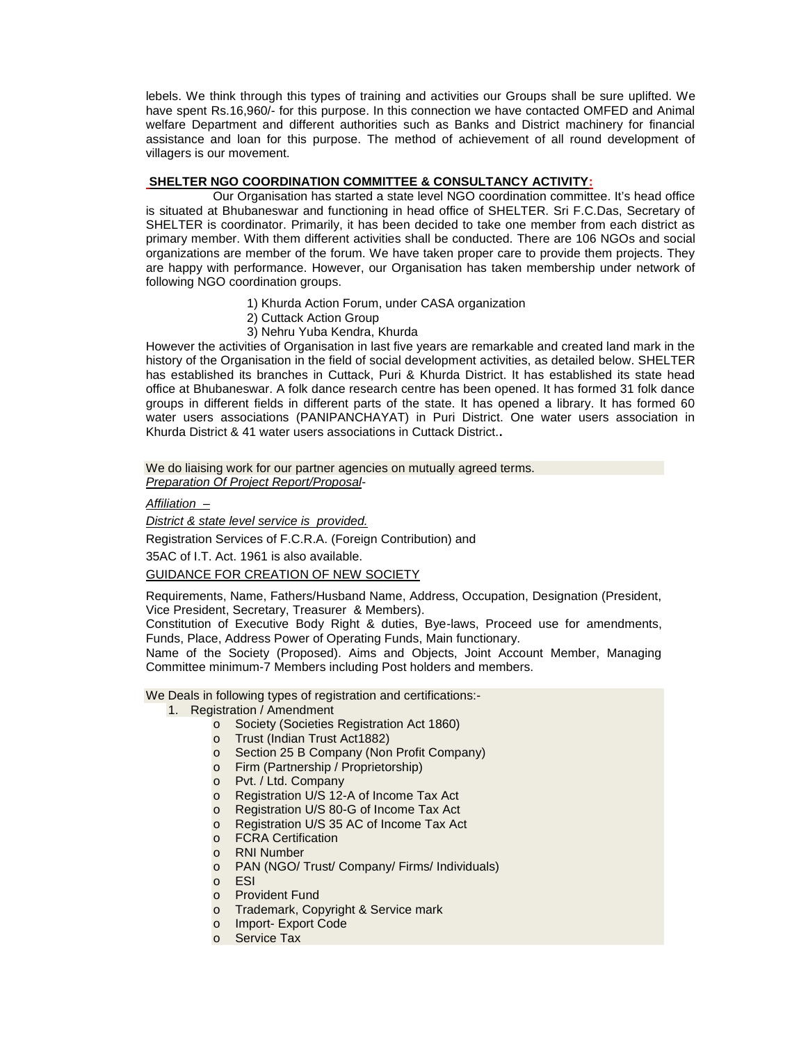lebels. We think through this types of training and activities our Groups shall be sure uplifted. We have spent Rs.16,960/- for this purpose. In this connection we have contacted OMFED and Animal welfare Department and different authorities such as Banks and District machinery for financial assistance and loan for this purpose. The method of achievement of all round development of villagers is our movement.

### **SHELTER NGO COORDINATION COMMITTEE & CONSULTANCY ACTIVITY:**

Our Organisation has started a state level NGO coordination committee. It's head office is situated at Bhubaneswar and functioning in head office of SHELTER. Sri F.C.Das, Secretary of SHELTER is coordinator. Primarily, it has been decided to take one member from each district as primary member. With them different activities shall be conducted. There are 106 NGOs and social organizations are member of the forum. We have taken proper care to provide them projects. They are happy with performance. However, our Organisation has taken membership under network of following NGO coordination groups.

- 1) Khurda Action Forum, under CASA organization
- 2) Cuttack Action Group
- 3) Nehru Yuba Kendra, Khurda

However the activities of Organisation in last five years are remarkable and created land mark in the history of the Organisation in the field of social development activities, as detailed below. SHELTER has established its branches in Cuttack, Puri & Khurda District. It has established its state head office at Bhubaneswar. A folk dance research centre has been opened. It has formed 31 folk dance groups in different fields in different parts of the state. It has opened a library. It has formed 60 water users associations (PANIPANCHAYAT) in Puri District. One water users association in Khurda District & 41 water users associations in Cuttack District.**.**

We do liaising work for our partner agencies on mutually agreed terms. *Preparation Of Project Report/Proposal*-

### *Affiliation –*

*District & state level service is provided.*

Registration Services of F.C.R.A. (Foreign Contribution) and

35AC of I.T. Act. 1961 is also available.

GUIDANCE FOR CREATION OF NEW SOCIETY

Requirements, Name, Fathers/Husband Name, Address, Occupation, Designation (President, Vice President, Secretary, Treasurer & Members).

Constitution of Executive Body Right & duties, Bye-laws, Proceed use for amendments, Funds, Place, Address Power of Operating Funds, Main functionary.

Name of the Society (Proposed). Aims and Objects, Joint Account Member, Managing Committee minimum-7 Members including Post holders and members.

We Deals in following types of registration and certifications:-

- 1. Registration / Amendment
	- o Society (Societies Registration Act 1860)
	- o Trust (Indian Trust Act1882)
	- o Section 25 B Company (Non Profit Company)
	- o Firm (Partnership / Proprietorship)
	- o Pvt. / Ltd. Company
	- o Registration U/S 12-A of Income Tax Act
	- o Registration U/S 80-G of Income Tax Act
	- o Registration U/S 35 AC of Income Tax Act
	- o FCRA Certification
	- o RNI Number
	- o PAN (NGO/ Trust/ Company/ Firms/ Individuals)
	- o ESI
	- o Provident Fund
	- o Trademark, Copyright & Service mark
	- o Import- Export Code
	- o Service Tax